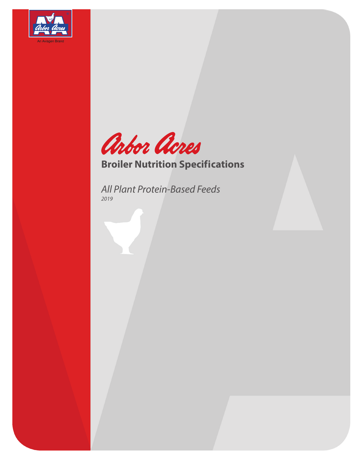



## **Broiler Nutrition Specifications**

*All Plant Protein-Based Feeds 2019*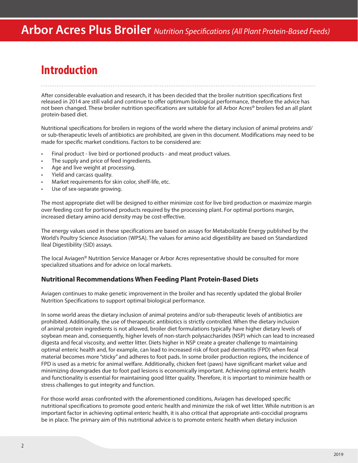### **Introduction**

After considerable evaluation and research, it has been decided that the broiler nutrition specifications first released in 2014 are still valid and continue to offer optimum biological performance, therefore the advice has not been changed. These broiler nutrition specifications are suitable for all Arbor Acres<sup>®</sup> broilers fed an all plant protein-based diet.

Nutritional specifications for broilers in regions of the world where the dietary inclusion of animal proteins and/ or sub-therapeutic levels of antibiotics are prohibited, are given in this document. Modifications may need to be made for specific market conditions. Factors to be considered are:

- Final product live bird or portioned products and meat product values.
- The supply and price of feed ingredients.
- Age and live weight at processing.
- Yield and carcass quality.
- Market requirements for skin color, shelf-life, etc.
- Use of sex-separate growing.

The most appropriate diet will be designed to either minimize cost for live bird production or maximize margin over feeding cost for portioned products required by the processing plant. For optimal portions margin, increased dietary amino acid density may be cost-effective.

The energy values used in these specifications are based on assays for Metabolizable Energy published by the World's Poultry Science Association (WPSA). The values for amino acid digestibility are based on Standardized Ileal Digestibility (SID) assays.

The local Aviagen® Nutrition Service Manager or Arbor Acres representative should be consulted for more specialized situations and for advice on local markets.

#### **Nutritional Recommendations When Feeding Plant Protein-Based Diets**

Aviagen continues to make genetic improvement in the broiler and has recently updated the global Broiler Nutrition Specifications to support optimal biological performance.

In some world areas the dietary inclusion of animal proteins and/or sub-therapeutic levels of antibiotics are prohibited. Additionally, the use of therapeutic antibiotics is strictly controlled. When the dietary inclusion of animal protein ingredients is not allowed, broiler diet formulations typically have higher dietary levels of soybean mean and, consequently, higher levels of non-starch polysaccharides (NSP) which can lead to increased digesta and fecal viscosity, and wetter litter. Diets higher in NSP create a greater challenge to maintaining optimal enteric health and, for example, can lead to increased risk of foot pad dermatitis (FPD) when fecal material becomes more "sticky" and adheres to foot pads. In some broiler production regions, the incidence of FPD is used as a metric for animal welfare. Additionally, chicken feet (paws) have significant market value and minimizing downgrades due to foot pad lesions is economically important. Achieving optimal enteric health and functionality is essential for maintaining good litter quality. Therefore, it is important to minimize health or stress challenges to gut integrity and function.

For those world areas confronted with the aforementioned conditions, Aviagen has developed specific nutritional specifications to promote good enteric health and minimize the risk of wet litter. While nutrition is an important factor in achieving optimal enteric health, it is also critical that appropriate anti-coccidial programs be in place. The primary aim of this nutritional advice is to promote enteric health when dietary inclusion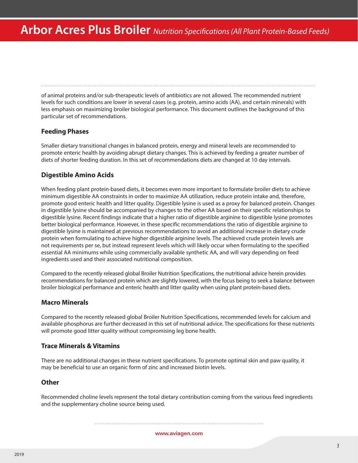of animal proteins and/or sub-therapeutic levels of antibiotics are not allowed. The recommended nutrient levels for such conditions are lower in several cases (e.g. protein, amino acids (AA), and certain minerals) with less emphasis on maximizing broiler biological performance. This document outlines the background of this particular set of recommendations.

### **Feeding Phases**

Smaller dietary transitional changes in balanced protein, energy and mineral levels are recommended to promote enteric health by avoiding abrupt dietary changes. This is achieved by feeding a greater number of diets of shorter feeding duration. In this set of recommendations diets are changed at 10 day intervals.

### **Digestible Amino Acids**

When feeding plant protein-based diets, it becomes even more important to formulate broiler diets to achieve minimum digestible AA constraints in order to maximize AA utilization, reduce protein intake and, therefore, promote good enteric health and litter quality. Digestible lysine is used as a proxy for balanced protein. Changes in digestible lysine should be accompanied by changes to the other AA based on their specific relationships to digestible lysine. Recent findings indicate that a higher ratio of digestible arginine to digestible lysine promotes better biological performance. However, in these specific recommendations the ratio of digestible arginine to digestible lysine is maintained at previous recommendations to avoid an additional increase in dietary crude protein when formulating to achieve higher digestible arginine levels. The achieved crude protein levels are not requirements per se, but instead represent levels which will likely occur when formulating to the specified essential AA minimums while using commercially available synthetic AA, and will vary depending on feed ingredients used and their associated nutritional composition.

Compared to the recently released global Broiler Nutrition Specifications, the nutritional advice herein provides recommendations for balanced protein which are slightly lowered, with the focus being to seek a balance between broiler biological performance and enteric health and litter quality when using plant protein-based diets.

### **Macro Minerals**

Compared to the recently released global Broiler Nutrition Specifications, recommended levels for calcium and available phosphorus are further decreased in this set of nutritional advice. The specifications for these nutrients will promote good litter quality without compromising leg bone health.

### **Trace Minerals & Vitamins**

There are no additional changes in these nutrient specifications. To promote optimal skin and paw quality, it may be beneficial to use an organic form of zinc and increased biotin levels.

### **Other**

Recommended choline levels represent the total dietary contribution coming from the various feed ingredients and the supplementary choline source being used.

#### www.aviagen.com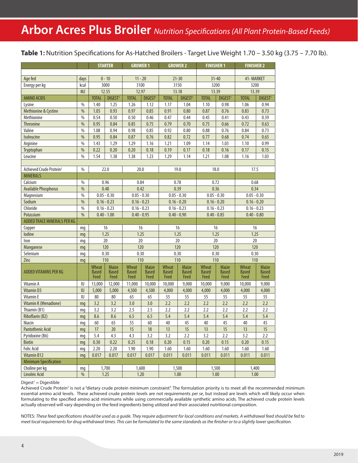## **Arbor Acres Plus Broiler** *Nutrition Specifications (All Plant Protein-Based Feeds)*

 **Table 1:** Nutrition Specifications for As-Hatched Broilers - Target Live Weight 1.70 – 3.50 kg (3.75 – 7.70 lb).

|                                     |               |                               | <b>STARTER</b>                | <b>GROWER 1</b>               |                               |                               | <b>GROWER 2</b>                      | <b>FINISHER 1</b>             |                               | <b>FINISHER 2</b>                    |                                      |
|-------------------------------------|---------------|-------------------------------|-------------------------------|-------------------------------|-------------------------------|-------------------------------|--------------------------------------|-------------------------------|-------------------------------|--------------------------------------|--------------------------------------|
|                                     |               |                               |                               |                               |                               |                               |                                      |                               |                               |                                      |                                      |
| Age fed                             | days          |                               | $0 - 10$                      | $11 - 20$                     |                               |                               | $21 - 30$                            |                               | $31 - 40$                     | 41-MARKET                            |                                      |
| Energy per kg                       | kcal          |                               | 3000                          | 3100                          |                               |                               | 3150                                 | 3200                          |                               | 3200                                 |                                      |
|                                     | <b>MJ</b>     |                               | 12.55                         | 12.97                         |                               |                               | 13.18                                |                               | 13.39                         | 13.39                                |                                      |
| <b>AMINO ACIDS</b>                  |               | <b>TOTAL</b>                  | DIGEST <sup>1</sup>           | <b>TOTAL</b>                  | DIGEST <sup>1</sup>           | <b>TOTAL</b>                  | DIGEST <sup>1</sup>                  | <b>TOTAL</b>                  | DIGEST <sup>1</sup>           | <b>TOTAL</b>                         | DIGEST <sup>1</sup>                  |
| Lysine                              | $\%$          | 1.40                          | 1.25                          | 1.26                          | 1.12                          | 1.17                          | 1.04                                 | 1.10                          | 0.98                          | 1.06                                 | 0.94                                 |
| Methionine & Cystine                | $\frac{0}{0}$ | 1.05                          | 0.93                          | 0.97                          | 0.85                          | 0.91                          | 0.80                                 | 0.87                          | 0.76                          | 0.83                                 | 0.73                                 |
| Methionine                          | $\%$          | 0.54                          | 0.50                          | 0.50                          | 0.46                          | 0.47                          | 0.44                                 | 0.45                          | 0.41                          | 0.43                                 | 0.39                                 |
| Threonine                           | $\frac{0}{0}$ | 0.95                          | 0.84                          | 0.85                          | 0.75                          | 0.79                          | 0.70                                 | 0.75                          | 0.66                          | 0.72                                 | 0.63                                 |
| Valine                              | $\frac{0}{0}$ | 1.08                          | 0.94                          | 0.98                          | 0.85                          | 0.92                          | 0.80                                 | 0.88                          | 0.76                          | 0.84                                 | 0.73                                 |
| Isoleucine                          | $\frac{0}{0}$ | 0.95                          | 0.84                          | 0.87                          | 0.76                          | 0.82                          | 0.72                                 | 0.77                          | 0.68                          | 0.74                                 | 0.65                                 |
| Arginine                            | $\%$          | 1.43                          | 1.29                          | 1.29                          | 1.16                          | 1.21                          | 1.09                                 | 1.14                          | 1.03                          | 1.10                                 | 0.99                                 |
| Tryptophan                          | $\%$          | 0.22                          | 0.20                          | 0.20                          | 0.18                          | 0.19                          | 0.17                                 | 0.18                          | 0.16                          | 0.17                                 | 0.15                                 |
| Leucine                             | $\frac{0}{0}$ | 1.54                          | 1.38                          | 1.38                          | 1.23                          | 1.29                          | 1.14                                 | 1.21                          | 1.08                          | 1.16                                 | 1.03                                 |
|                                     |               |                               |                               |                               |                               |                               |                                      |                               |                               |                                      |                                      |
| Achieved Crude Protein <sup>2</sup> | $\%$          |                               | 22.0                          | 20.0                          |                               |                               | 19.0                                 |                               | 18.0                          | 17.5                                 |                                      |
| <b>MINERALS</b>                     |               |                               |                               |                               |                               |                               |                                      |                               |                               |                                      |                                      |
| Calcium                             | $\%$          |                               | 0.96                          | 0.84                          |                               | 0.78                          |                                      |                               | 0.72                          | 0.68                                 |                                      |
| <b>Available Phosphorus</b>         | $\frac{0}{0}$ |                               | 0.48                          | 0.42                          |                               | 0.39                          |                                      | 0.36                          |                               | 0.34                                 |                                      |
| Magnesium                           | $\%$          |                               | $0.05 - 0.30$                 | $0.05 - 0.30$                 |                               |                               | $0.05 - 0.30$                        |                               | $0.05 - 0.30$                 | $0.05 - 0.30$                        |                                      |
| Sodium                              | $\frac{0}{0}$ |                               | $0.16 - 0.23$                 | $0.16 - 0.23$                 |                               |                               | $0.16 - 0.20$                        | $0.16 - 0.20$                 |                               | $0.16 - 0.20$                        |                                      |
| Chloride                            | $\%$          |                               | $0.16 - 0.23$                 | $0.16 - 0.23$                 |                               |                               | $0.16 - 0.23$                        | $0.16 - 0.23$                 |                               | $0.16 - 0.23$                        |                                      |
| Potassium                           | $\frac{0}{0}$ |                               | $0.40 - 1.00$                 | $0.40 - 0.95$                 |                               |                               | $0.40 - 0.90$                        | $0.40 - 0.85$                 |                               | $0.40 - 0.80$                        |                                      |
| ADDED TRACE MINERALS PER KG         |               |                               |                               |                               |                               |                               |                                      |                               |                               |                                      |                                      |
| Copper                              | mg            |                               | 16                            | 16                            |                               |                               | 16                                   |                               | 16                            | 16                                   |                                      |
| lodine                              | mq            |                               | 1.25                          | 1.25                          |                               |                               | 1.25                                 |                               | 1.25                          | 1.25                                 |                                      |
| Iron                                | mq            |                               | 20                            | 20                            |                               |                               | 20                                   | 20                            |                               | 20                                   |                                      |
| Manganese                           | mg            |                               | 120                           | 120                           |                               |                               | 120                                  | 120                           |                               | 120                                  |                                      |
| Selenium                            | mq            |                               | 0.30                          | 0.30                          |                               |                               | 0.30                                 | 0.30                          |                               | 0.30                                 |                                      |
| Zinc                                | mg            |                               | 110                           | 110                           |                               | 110                           |                                      | 110                           |                               | 110                                  |                                      |
| <b>ADDED VITAMINS PER KG</b>        |               | Wheat<br><b>Based</b><br>Feed | Maize<br><b>Based</b><br>Feed | Wheat<br><b>Based</b><br>Feed | Maize<br><b>Based</b><br>Feed | Wheat<br><b>Based</b><br>Feed | <b>Maize</b><br><b>Based</b><br>Feed | Wheat<br><b>Based</b><br>Feed | Maize<br><b>Based</b><br>Feed | <b>Wheat</b><br><b>Based</b><br>Feed | <b>Maize</b><br><b>Based</b><br>Feed |
| Vitamin A                           | IU            | 13,000                        | 12,000                        | 11,000                        | 10,000                        | 10,000                        | 9,000                                | 10,000                        | 9,000                         | 10,000                               | 9,000                                |
| <b>Vitamin D3</b>                   | $\sf I\sf U$  | 5,000                         | 5,000                         | 4,500                         | 4,500                         | 4,000                         | 4,000                                | 4,000                         | 4,000                         | 4,000                                | 4,000                                |
| <b>Vitamin E</b>                    | IU            | 80                            | 80                            | 65                            | 65                            | 55                            | 55                                   | 55                            | 55                            | 55                                   | 55                                   |
| Vitamin K (Menadione)               | mg            | 3.2                           | 3.2                           | 3.0                           | 3.0                           | 2.2                           | 2.2                                  | 2.2                           | 2.2                           | 2.2                                  | 2.2                                  |
| Thiamin (B1)                        | mg            | 3.2                           | 3.2                           | 2.5                           | 2.5                           | 2.2                           | 2.2                                  | 2.2                           | 2.2                           | 2.2                                  | 2.2                                  |
| Riboflavin (B2)                     | mg            | 8.6                           | 8.6                           | 6.5                           | 6.5                           | 5.4                           | 5.4                                  | 5.4                           | 5.4                           | 5.4                                  | 5.4                                  |
| Niacin                              | mg            | 60                            | 65                            | 55                            | 60                            | $40\,$                        | 45                                   | 40                            | 45                            | 40                                   | 45                                   |
| <b>Pantothenic Acid</b>             | mg            | 17                            | 20                            | 15                            | 18                            | 13                            | 15                                   | 13                            | 15                            | 13                                   | 15                                   |
| Pyridoxine (B6)                     | mg            | 5.4                           | 4.3                           | 4.3                           | 3.2                           | 3.2                           | 2.2                                  | 3.2                           | 2.2                           | 3.2                                  | 2.2                                  |
| <b>Biotin</b>                       | mg            | 0.30                          | 0.22                          | 0.25                          | 0.18                          | 0.20                          | 0.15                                 | 0.20                          | 0.15                          | 0.20                                 | 0.15                                 |
| <b>Folic Acid</b>                   | mg            | 2.20                          | 2.20                          | 1.90                          | 1.90                          | 1.60                          | 1.60                                 | 1.60                          | 1.60                          | 1.60                                 | 1.60                                 |
| <b>Vitamin B12</b>                  | mg            | 0.017                         | 0.017                         | 0.017                         | 0.017                         | 0.011                         | 0.011                                | 0.011                         | 0.011                         | 0.011                                | 0.011                                |
| <b>Minimum Specification</b>        |               |                               |                               |                               |                               |                               |                                      |                               |                               |                                      |                                      |
| Choline per kg                      | mg            |                               | 1,700                         | 1,600                         |                               |                               | 1,500                                |                               | 1,500                         | 1,400                                |                                      |
| Linoleic Acid                       | $\%$          |                               | 1.25                          | 1.20                          |                               |                               | 1.00                                 |                               | 1.00                          | 1.00                                 |                                      |

#### $Digest<sup>1</sup> = Digestible$

Achieved Crude Protein<sup>2</sup> is not a "dietary crude protein minimum constraint". The formulation priority is to meet all the recommended minimum essential amino acid levels. These achieved crude protein levels are not requirements *per se*, but instead are levels which will likely occur when formulating to the specified amino acid minimums while using commercially available synthetic amino acids. The achieved crude protein levels actually observed will vary depending on the feed ingredients being utilized and their associated nutritional composition.

NOTES: *These feed specifications should be used as a guide. They require adjustment for local conditions and markets. A withdrawal feed should be fed to meet local requirements for drug withdrawal times. This can be formulated to the same standards as the finisher or to a slightly lower specification.*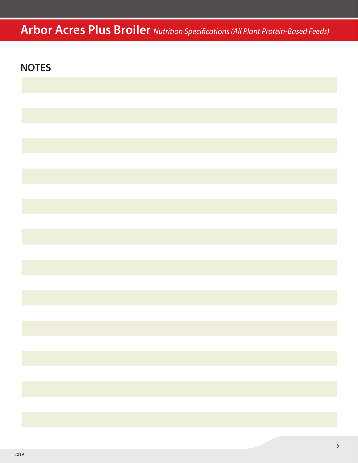# **Arbor Acres Plus Broiler** *Nutrition Specifications (All Plant Protein-Based Feeds)*

### **NOTES**

| ,我们也不会有什么。""我们的人,我们也不会有什么?""我们的人,我们也不会有什么?""我们的人,我们也不会有什么?""我们的人,我们也不会有什么?""我们的人                                                                                                                                                |  |  |
|---------------------------------------------------------------------------------------------------------------------------------------------------------------------------------------------------------------------------------|--|--|
|                                                                                                                                                                                                                                 |  |  |
|                                                                                                                                                                                                                                 |  |  |
|                                                                                                                                                                                                                                 |  |  |
|                                                                                                                                                                                                                                 |  |  |
| a sa karang sa kabupatèn Kabupatèn Bangung Kabupatèn Kabupatèn Kabupatèn Kabupatèn Kabupatèn Kabupatèn Kabupat<br>Kabupatèn Kabupatèn Kabupatèn Kabupatèn Kabupatèn Kabupatèn Kabupatèn Kabupatèn Kabupatèn Kabupatèn Kabupatèn |  |  |
|                                                                                                                                                                                                                                 |  |  |
|                                                                                                                                                                                                                                 |  |  |
|                                                                                                                                                                                                                                 |  |  |
|                                                                                                                                                                                                                                 |  |  |
|                                                                                                                                                                                                                                 |  |  |
|                                                                                                                                                                                                                                 |  |  |
|                                                                                                                                                                                                                                 |  |  |
|                                                                                                                                                                                                                                 |  |  |